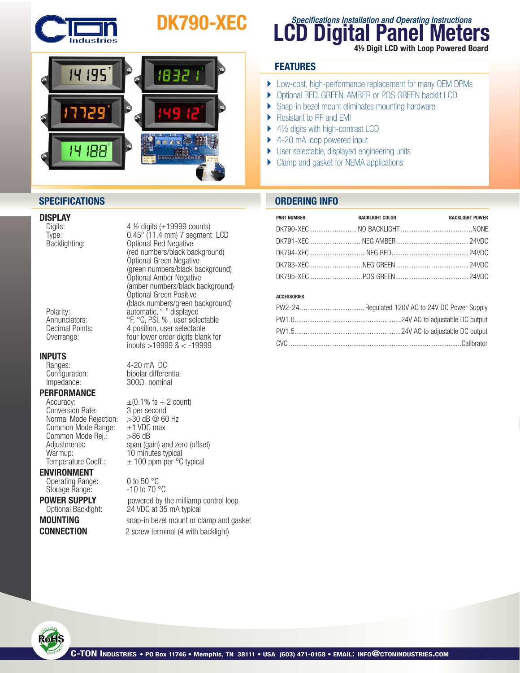

# DK790-XEC



# **DISPLAY**<br>Digits:

# **INPUTS**<br>
Ranges:

Ranges: 4-20 mA DC<br>Configuration: bipolar differe

# **PERFORMANCE**<br>Accuracy:

Conversion Rate: 3 per second<br>Normal Mode Rejection: > 30 dB @ 60 Hz Normal Mode Rejection: <br>Common Mode Range:  $\pm 1$  VDC max Common Mode Range:  $\pm$ 1 VDC<br>Common Mode Rei.: >86 dB Common Mode Rej.:<br>Adiustments: Warmup:  $\frac{10}{2}$  minutes typical<br>Temperature Coeff.:  $\pm 100$  ppm per °C

#### ENVIRONMENT

Operating Range:  $0 \text{ to } 50 \text{ °C}$ <br>Storage Range:  $-10 \text{ to } 70 \text{ °C}$ Storage Range:

4  $\frac{1}{2}$  digits ( $\pm$ 19999 counts) Type: 0.45" (11.4 mm) 7 segment LCD<br>Backlighting: 0ptional Red Negative Backlighting:<br>
(red numbers/black background)<br>
(red numbers/black background)<br>
Optional Green Negative<br>
(green numbers/black background)<br>
Optional Amber Negative<br>
(amber numbers/black background)<br>
Optional Green Positive<br> Polarity: automatic,"-" displayed Annunciators: <sup>org</sup>, <sup>org</sup>, <sup>org</sup>, <sup>org</sup>, *org*, *org*, *org*, *org*, *org*, *org*, *org*, *org*, *org*, *org*, *org*, *org*, *org*, *org*, *org*, *org*, *org*, *org*, *org*, *org*, *org*, *org*, *org*, *org*, *org*, *org* Decimal Points: 4 position, user selectable<br>Overrange: 6 position four lower order digits blan four lower order digits blank for inputs >19999 & < -19999

 $\frac{1}{2}$ Configuration: bipolar differential<br>Impedance: 300 $\Omega$  nominal  $300\Omega$  nominal

 $\pm$ (0.1% fs + 2 count)<br>3 per second Adjustments: Span (gain) and zero (offset)<br>
Warmup: 10 minutes typical  $\pm$  100 ppm per °C typical

**POWER SUPPLY** powered by the milliamp control loop Optional Backlight: 24 VDC at 35 mA typical 24 VDC at 35 mA typical **MOUNTING** snap-in bezel mount or clamp and gasket **CONNECTION** 2 screw terminal (4 with backlight)

# **LCD Digital Panel Meters Specifications Installation and Operating Instructions** 4½ Digit LCD with Loop Powered Board

### **FEATURES**

- } Low-cost, high-performance replacement for many OEM DPMs
- } Optional RED, GREEN, AMBER or POS GREEN backlit LCD
- ▶ Snap-in bezel mount eliminates mounting hardware
- Resistant to RF and EMI
- $\blacktriangleright$  4½ digits with high-contrast LCD
- ▶ 4-20 mA loop powered input
- } User selectable, displayed engineering units
- Clamp and gasket for NEMA applications

#### **SPECIFICATIONS ORDERING INFO**

| <b>PART NUMBER</b> | <b>BACKLIGHT COLOR</b> | <b>BACKLIGHT POWER</b> |
|--------------------|------------------------|------------------------|
|                    |                        |                        |
|                    |                        |                        |
|                    |                        |                        |
|                    |                        |                        |
|                    |                        |                        |

#### ACCESSORIES